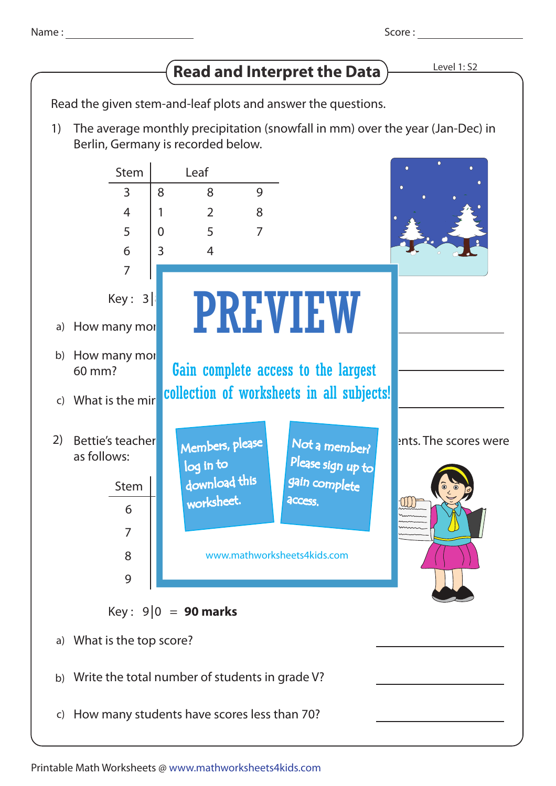Name:

## **Read and Interpret the Data Level 1: S2**

Read the given stem-and-leaf plots and answer the questions.

The average monthly precipitation (snowfall in mm) over the year (Jan-Dec) in Berlin, Germany is recorded below. 1)